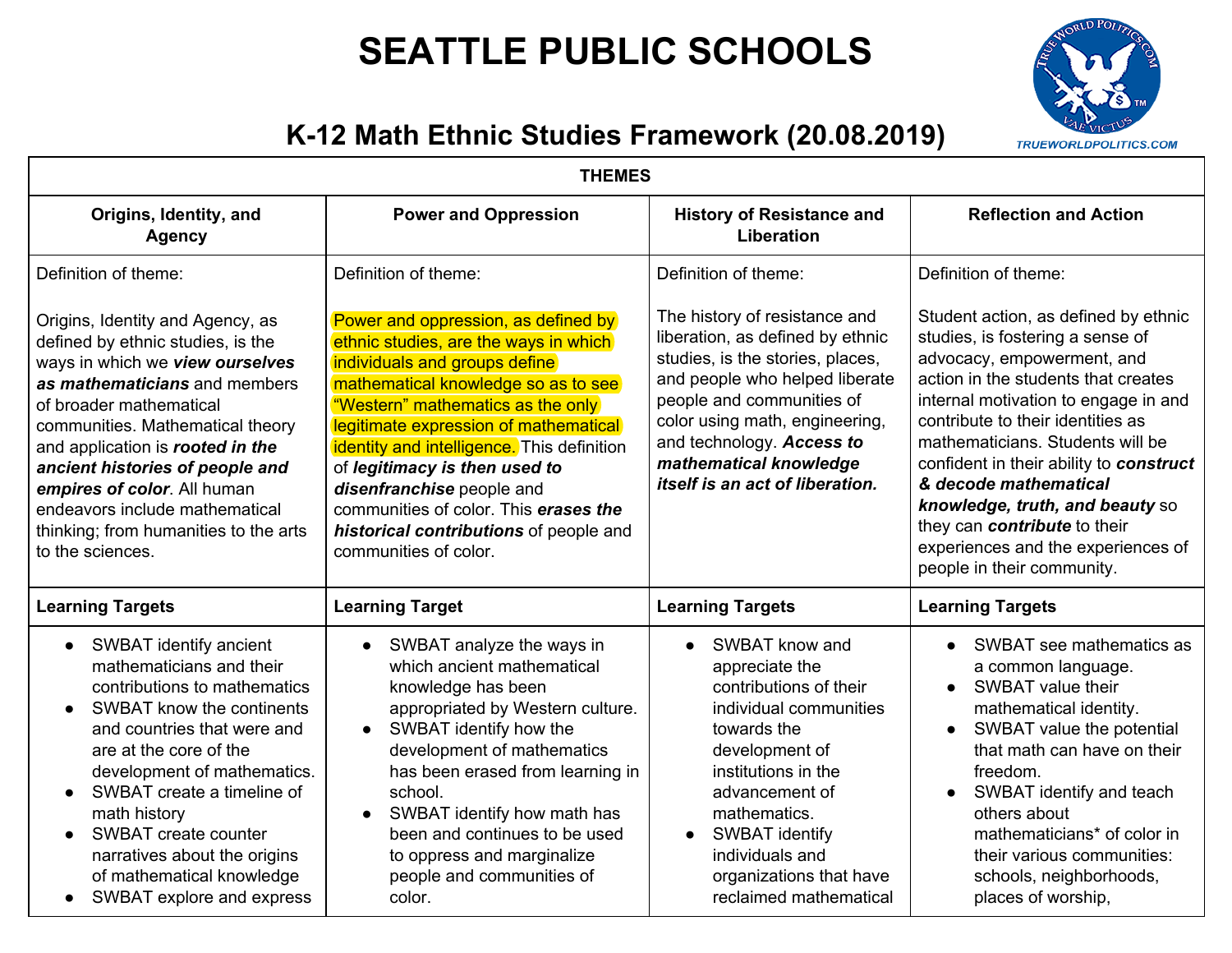# **SEATTLE PUBLIC SCHOOLS**



# **K-12 Math Ethnic Studies Framework (20.08.2019)**

|                                                                                                                                                                                                                                                                                                                                                                                                                       | <b>THEMES</b>                                                                                                                                                                                                                                                                                                                                                                                                       |                                                                                                                                                                                                                                                                          |                                                                                                                                                                                                                                                                                                                                                                                                                                   |
|-----------------------------------------------------------------------------------------------------------------------------------------------------------------------------------------------------------------------------------------------------------------------------------------------------------------------------------------------------------------------------------------------------------------------|---------------------------------------------------------------------------------------------------------------------------------------------------------------------------------------------------------------------------------------------------------------------------------------------------------------------------------------------------------------------------------------------------------------------|--------------------------------------------------------------------------------------------------------------------------------------------------------------------------------------------------------------------------------------------------------------------------|-----------------------------------------------------------------------------------------------------------------------------------------------------------------------------------------------------------------------------------------------------------------------------------------------------------------------------------------------------------------------------------------------------------------------------------|
| Origins, Identity, and<br><b>Agency</b>                                                                                                                                                                                                                                                                                                                                                                               | <b>Power and Oppression</b>                                                                                                                                                                                                                                                                                                                                                                                         | <b>History of Resistance and</b><br>Liberation                                                                                                                                                                                                                           | <b>Reflection and Action</b>                                                                                                                                                                                                                                                                                                                                                                                                      |
| Definition of theme:                                                                                                                                                                                                                                                                                                                                                                                                  | Definition of theme:<br>Power and oppression, as defined by                                                                                                                                                                                                                                                                                                                                                         | Definition of theme:<br>The history of resistance and                                                                                                                                                                                                                    | Definition of theme:<br>Student action, as defined by ethnic                                                                                                                                                                                                                                                                                                                                                                      |
| Origins, Identity and Agency, as<br>defined by ethnic studies, is the<br>ways in which we view ourselves<br>as mathematicians and members<br>of broader mathematical<br>communities. Mathematical theory<br>and application is rooted in the<br>ancient histories of people and<br>empires of color. All human<br>endeavors include mathematical<br>thinking; from humanities to the arts<br>to the sciences.         | ethnic studies, are the ways in which<br>individuals and groups define<br>mathematical knowledge so as to see<br>"Western" mathematics as the only<br>legitimate expression of mathematical<br>identity and intelligence. This definition<br>of legitimacy is then used to<br>disenfranchise people and<br>communities of color. This erases the<br>historical contributions of people and<br>communities of color. | liberation, as defined by ethnic<br>studies, is the stories, places,<br>and people who helped liberate<br>people and communities of<br>color using math, engineering,<br>and technology. Access to<br>mathematical knowledge<br><i>itself is an act of liberation.</i>   | studies, is fostering a sense of<br>advocacy, empowerment, and<br>action in the students that creates<br>internal motivation to engage in and<br>contribute to their identities as<br>mathematicians. Students will be<br>confident in their ability to construct<br>& decode mathematical<br>knowledge, truth, and beauty so<br>they can contribute to their<br>experiences and the experiences of<br>people in their community. |
| <b>Learning Targets</b>                                                                                                                                                                                                                                                                                                                                                                                               | <b>Learning Target</b>                                                                                                                                                                                                                                                                                                                                                                                              | <b>Learning Targets</b>                                                                                                                                                                                                                                                  | <b>Learning Targets</b>                                                                                                                                                                                                                                                                                                                                                                                                           |
| SWBAT identify ancient<br>$\bullet$<br>mathematicians and their<br>contributions to mathematics<br><b>SWBAT know the continents</b><br>and countries that were and<br>are at the core of the<br>development of mathematics.<br>SWBAT create a timeline of<br>$\bullet$<br>math history<br>SWBAT create counter<br>$\bullet$<br>narratives about the origins<br>of mathematical knowledge<br>SWBAT explore and express | SWBAT analyze the ways in<br>$\bullet$<br>which ancient mathematical<br>knowledge has been<br>appropriated by Western culture.<br>SWBAT identify how the<br>development of mathematics<br>has been erased from learning in<br>school.<br>SWBAT identify how math has<br>been and continues to be used<br>to oppress and marginalize<br>people and communities of<br>color.                                          | SWBAT know and<br>appreciate the<br>contributions of their<br>individual communities<br>towards the<br>development of<br>institutions in the<br>advancement of<br>mathematics.<br>SWBAT identify<br>individuals and<br>organizations that have<br>reclaimed mathematical | SWBAT see mathematics as<br>$\bullet$<br>a common language.<br>SWBAT value their<br>$\bullet$<br>mathematical identity.<br>SWBAT value the potential<br>$\bullet$<br>that math can have on their<br>freedom.<br>SWBAT identify and teach<br>others about<br>mathematicians* of color in<br>their various communities:<br>schools, neighborhoods,<br>places of worship,                                                            |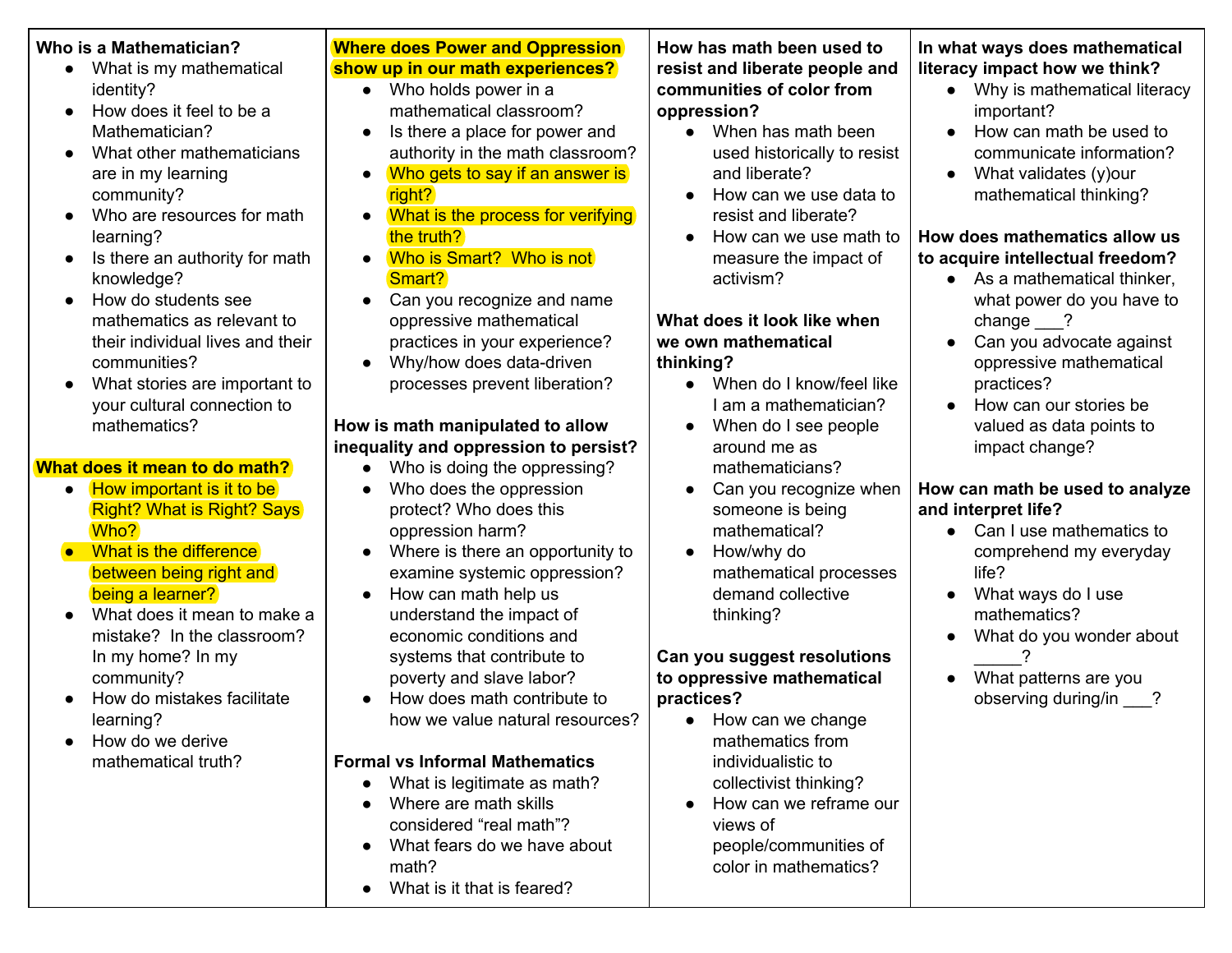#### **Who is a Mathematician?**

- What is my mathematical identity?
- How does it feel to be a Mathematician?
- What other mathematicians are in my learning community?
- Who are resources for math learning?
- Is there an authority for math knowledge?
- How do students see mathematics as relevant to their individual lives and their communities?
- What stories are important to your cultural connection to mathematics?

#### **What does it mean to do math?**

- How important is it to be Right? What is Right? Says Who?
- What is the difference between being right and being a learner?
- What does it mean to make a mistake? In the classroom? In my home? In my community?
- How do mistakes facilitate learning?
- How do we derive mathematical truth?

#### **Where does Power and Oppression show up in our math experiences?**

- Who holds power in a mathematical classroom?
- Is there a place for power and authority in the math classroom?
- Who gets to say if an answer is right?
- What is the process for verifying the truth?
- Who is Smart? Who is not Smart?
- Can you recognize and name oppressive mathematical practices in your experience?
- Why/how does data-driven processes prevent liberation?

### **How is math manipulated to allow inequality and oppression to persist?**

- Who is doing the oppressing?
- Who does the oppression protect? Who does this oppression harm?
- Where is there an opportunity to examine systemic oppression?
- How can math help us understand the impact of economic conditions and systems that contribute to poverty and slave labor?
- How does math contribute to how we value natural resources?

# **Formal vs Informal Mathematics**

- What is legitimate as math?
- Where are math skills considered "real math"?
- What fears do we have about math?
- What is it that is feared?

#### **How has math been used to resist and liberate people and communities of color from oppression?**

- When has math been used historically to resist and liberate?
- How can we use data to resist and liberate?
- How can we use math to measure the impact of activism?

#### **What does it look like when we own mathematical thinking?**

- When do I know/feel like I am a mathematician?
- When do I see people around me as mathematicians?
- Can you recognize when someone is being mathematical?
- How/why do mathematical processes demand collective thinking?

#### **Can you suggest resolutions to oppressive mathematical practices?**

- How can we change mathematics from individualistic to collectivist thinking?
- How can we reframe our views of people/communities of color in mathematics?

# **In what ways does mathematical literacy impact how we think?**

- Why is mathematical literacy important?
- How can math be used to communicate information?
- $\bullet$  What validates (y) our mathematical thinking?

#### **How does mathematics allow us to acquire intellectual freedom?**

- $\bullet$  As a mathematical thinker, what power do you have to change ?
- Can you advocate against oppressive mathematical practices?
- How can our stories be valued as data points to impact change?

# **How can math be used to analyze and interpret life?**

- Can I use mathematics to comprehend my everyday life?
- What ways do I use mathematics?
- What do you wonder about  $\overline{?}$
- What patterns are you observing during/in ?